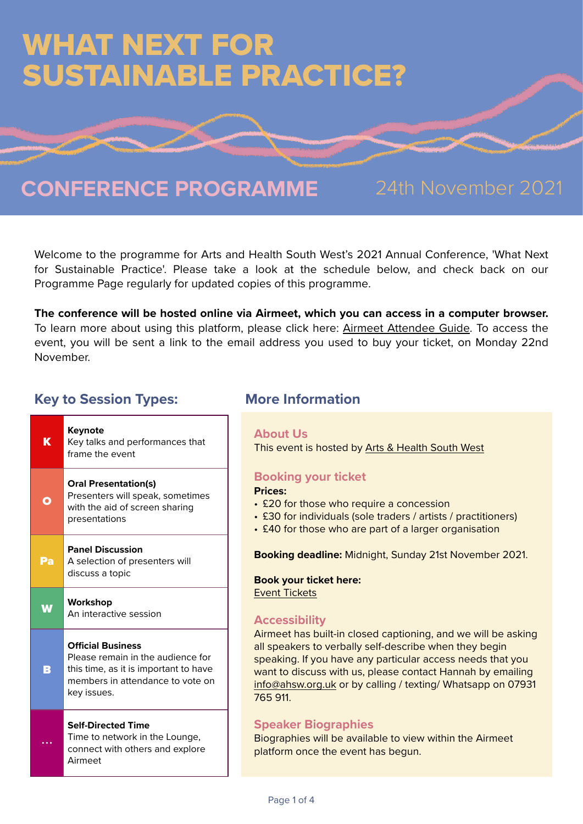# WHAT NEXT FOR SUSTAINABLE PRACTICE?

## **CONFERENCE PROGRAMME** 24th November 2021

Welcome to the programme for Arts and Health South West's 2021 Annual Conference, 'What Next for Sustainable Practice'. Please take a look at the schedule below, and check back on our Programme Page regularly for updated copies of this programme.

**The conference will be hosted online via Airmeet, which you can access in a computer browser.**  To learn more about using this platform, please click here: [Airmeet Attendee Guide.](https://help.airmeet.com/support/solutions/articles/82000480774-step-by-step-guide-for-attendees-meetup-format) To access the event, you will be sent a link to the email address you used to buy your ticket, on Monday 22nd November.

### **Key to Session Types: More Information**

| K  | Keynote<br>Key talks and performances that<br>frame the event                                                                                             |
|----|-----------------------------------------------------------------------------------------------------------------------------------------------------------|
| Ο  | <b>Oral Presentation(s)</b><br>Presenters will speak, sometimes<br>with the aid of screen sharing<br>presentations                                        |
| Pa | <b>Panel Discussion</b><br>A selection of presenters will<br>discuss a topic                                                                              |
|    |                                                                                                                                                           |
|    | Workshop<br>An interactive session                                                                                                                        |
| В  | <b>Official Business</b><br>Please remain in the audience for<br>this time, as it is important to have<br>members in attendance to vote on<br>key issues. |

#### **About Us**

This event is hosted by [Arts & Health South West](htps://www.ahsw.org.uk)

### **Booking your ticket**

#### **Prices:**

- £20 for those who require a concession
- £30 for individuals (sole traders / artists / practitioners)
- £40 for those who are part of a larger organisation

**Booking deadline:** Midnight, Sunday 21st November 2021.

#### **Book your ticket here:**

[Event Tickets](https://www.ahsw.org.uk/event/what-next-for-sustainable-practice-ahsw-annual-conference-2021/)

#### **Accessibility**

Airmeet has built-in closed captioning, and we will be asking all speakers to verbally self-describe when they begin speaking. If you have any particular access needs that you want to discuss with us, please contact Hannah by emailing [info@ahsw.org.uk](mailto:info@ahsw.org.uk) or by calling / texting/ Whatsapp on 07931 765 911.

#### **Speaker Biographies**

Biographies will be available to view within the Airmeet platform once the event has begun.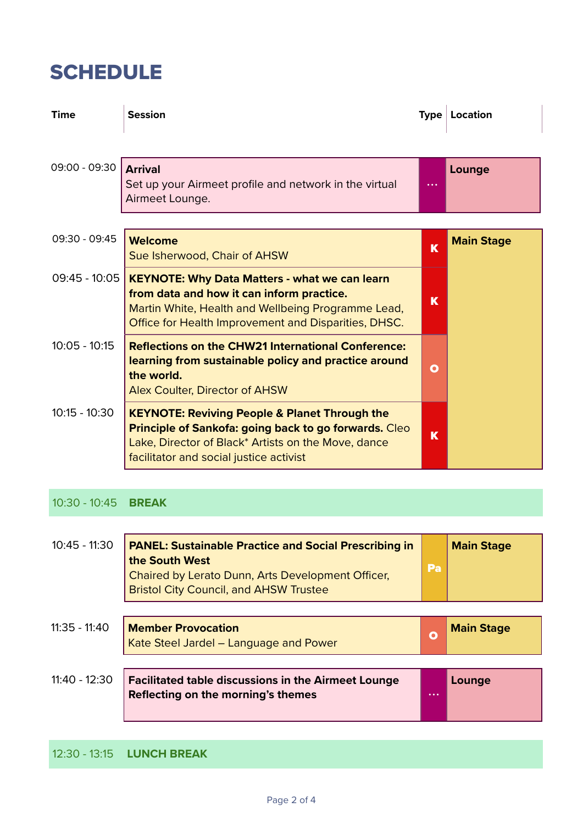## **SCHEDULE**

| <b>Time</b>     | <b>Session</b>                                                                                                                                                                                                             | <b>Type</b> | Location          |
|-----------------|----------------------------------------------------------------------------------------------------------------------------------------------------------------------------------------------------------------------------|-------------|-------------------|
| 09:00 - 09:30   | <b>Arrival</b><br>Set up your Airmeet profile and network in the virtual<br>Airmeet Lounge.                                                                                                                                |             | Lounge            |
|                 |                                                                                                                                                                                                                            |             |                   |
| 09:30 - 09:45   | Welcome<br>Sue Isherwood, Chair of AHSW                                                                                                                                                                                    | K           | <b>Main Stage</b> |
| $09:45 - 10:05$ | <b>KEYNOTE: Why Data Matters - what we can learn</b><br>from data and how it can inform practice.<br>Martin White, Health and Wellbeing Programme Lead,<br>Office for Health Improvement and Disparities, DHSC.            | K           |                   |
| $10:05 - 10:15$ | <b>Reflections on the CHW21 International Conference:</b><br>learning from sustainable policy and practice around<br>the world.<br><b>Alex Coulter, Director of AHSW</b>                                                   | О           |                   |
| $10:15 - 10:30$ | <b>KEYNOTE: Reviving People &amp; Planet Through the</b><br><b>Principle of Sankofa: going back to go forwards. Cleo</b><br>Lake, Director of Black* Artists on the Move, dance<br>facilitator and social justice activist | K           |                   |

10:30 - 10:45 **BREAK**

| $10:45 - 11:30$ | <b>PANEL: Sustainable Practice and Social Prescribing in</b><br>the South West<br>Chaired by Lerato Dunn, Arts Development Officer,<br><b>Bristol City Council, and AHSW Trustee</b> | Pa           | <b>Main Stage</b> |
|-----------------|--------------------------------------------------------------------------------------------------------------------------------------------------------------------------------------|--------------|-------------------|
| $11:35 - 11:40$ | <b>Member Provocation</b><br>Kate Steel Jardel - Language and Power                                                                                                                  | $\mathbf{o}$ | <b>Main Stage</b> |
| $11:40 - 12:30$ | <b>Facilitated table discussions in the Airmeet Lounge</b><br>Reflecting on the morning's themes                                                                                     | $\cdots$     | Lounge            |

12:30 - 13:15 **LUNCH BREAK**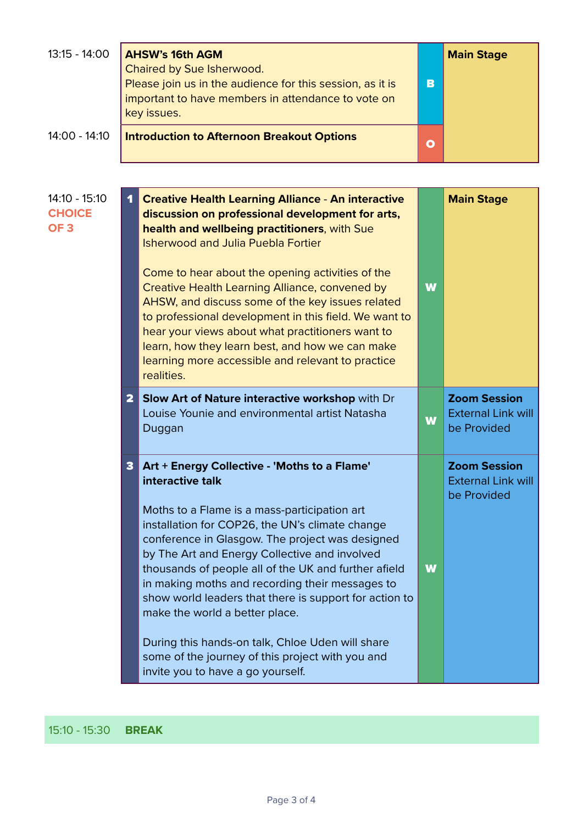| $13:15 - 14:00$                                     | <b>AHSW's 16th AGM</b><br>Chaired by Sue Isherwood.<br>Please join us in the audience for this session, as it is<br>important to have members in attendance to vote on<br>key issues. |                                                                                                                                                                                                                                                                                                                                                                                                                                                                                                                                                                                                                             | B | <b>Main Stage</b>                                               |
|-----------------------------------------------------|---------------------------------------------------------------------------------------------------------------------------------------------------------------------------------------|-----------------------------------------------------------------------------------------------------------------------------------------------------------------------------------------------------------------------------------------------------------------------------------------------------------------------------------------------------------------------------------------------------------------------------------------------------------------------------------------------------------------------------------------------------------------------------------------------------------------------------|---|-----------------------------------------------------------------|
| 14:00 - 14:10                                       |                                                                                                                                                                                       | <b>Introduction to Afternoon Breakout Options</b>                                                                                                                                                                                                                                                                                                                                                                                                                                                                                                                                                                           | O |                                                                 |
|                                                     |                                                                                                                                                                                       |                                                                                                                                                                                                                                                                                                                                                                                                                                                                                                                                                                                                                             |   |                                                                 |
| $14:10 - 15:10$<br><b>CHOICE</b><br>OF <sub>3</sub> | 1                                                                                                                                                                                     | <b>Creative Health Learning Alliance - An interactive</b><br>discussion on professional development for arts,<br>health and wellbeing practitioners, with Sue<br><b>Isherwood and Julia Puebla Fortier</b><br>Come to hear about the opening activities of the<br>Creative Health Learning Alliance, convened by<br>AHSW, and discuss some of the key issues related<br>to professional development in this field. We want to<br>hear your views about what practitioners want to<br>learn, how they learn best, and how we can make<br>learning more accessible and relevant to practice<br>realities.                     | W | <b>Main Stage</b>                                               |
|                                                     | 2                                                                                                                                                                                     | Slow Art of Nature interactive workshop with Dr<br>Louise Younie and environmental artist Natasha<br>Duggan                                                                                                                                                                                                                                                                                                                                                                                                                                                                                                                 | W | <b>Zoom Session</b><br><b>External Link will</b><br>be Provided |
|                                                     | 3                                                                                                                                                                                     | Art + Energy Collective - 'Moths to a Flame'<br>interactive talk<br>Moths to a Flame is a mass-participation art<br>installation for COP26, the UN's climate change<br>conference in Glasgow. The project was designed<br>by The Art and Energy Collective and involved<br>thousands of people all of the UK and further afield<br>in making moths and recording their messages to<br>show world leaders that there is support for action to<br>make the world a better place.<br>During this hands-on talk, Chloe Uden will share<br>some of the journey of this project with you and<br>invite you to have a go yourself. | W | <b>Zoom Session</b><br><b>External Link will</b><br>be Provided |

#### 15:10 - 15:30 **BREAK**